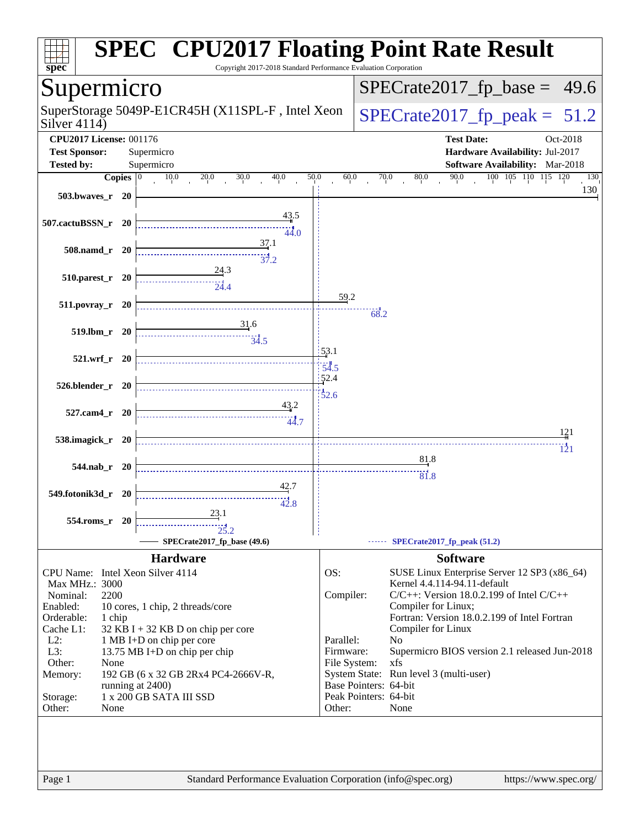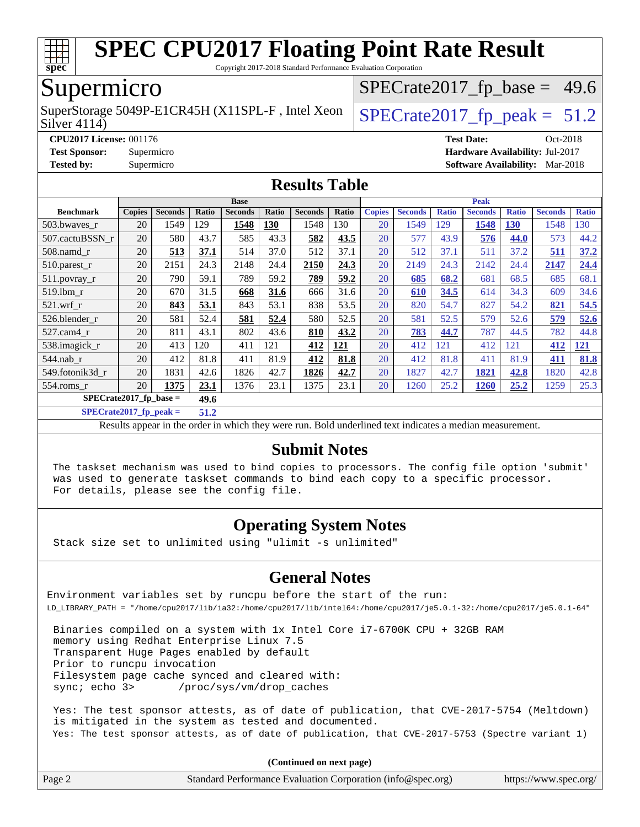

Copyright 2017-2018 Standard Performance Evaluation Corporation

### Supermicro

Silver 4114) SuperStorage 5049P-E1CR45H (X11SPL-F, Intel Xeon  $\left|$  [SPECrate2017\\_fp\\_peak =](http://www.spec.org/auto/cpu2017/Docs/result-fields.html#SPECrate2017fppeak) 51.2

 $SPECTate2017_fp\_base = 49.6$ 

**[CPU2017 License:](http://www.spec.org/auto/cpu2017/Docs/result-fields.html#CPU2017License)** 001176 **[Test Date:](http://www.spec.org/auto/cpu2017/Docs/result-fields.html#TestDate)** Oct-2018 **[Test Sponsor:](http://www.spec.org/auto/cpu2017/Docs/result-fields.html#TestSponsor)** Supermicro **[Hardware Availability:](http://www.spec.org/auto/cpu2017/Docs/result-fields.html#HardwareAvailability)** Jul-2017 **[Tested by:](http://www.spec.org/auto/cpu2017/Docs/result-fields.html#Testedby)** Supermicro **[Software Availability:](http://www.spec.org/auto/cpu2017/Docs/result-fields.html#SoftwareAvailability)** Mar-2018

#### **[Results Table](http://www.spec.org/auto/cpu2017/Docs/result-fields.html#ResultsTable)**

|                                  | <b>Base</b>   |                |       |                | <b>Peak</b> |                |            |               |                |              |                |              |                |              |
|----------------------------------|---------------|----------------|-------|----------------|-------------|----------------|------------|---------------|----------------|--------------|----------------|--------------|----------------|--------------|
| <b>Benchmark</b>                 | <b>Copies</b> | <b>Seconds</b> | Ratio | <b>Seconds</b> | Ratio       | <b>Seconds</b> | Ratio      | <b>Copies</b> | <b>Seconds</b> | <b>Ratio</b> | <b>Seconds</b> | <b>Ratio</b> | <b>Seconds</b> | <b>Ratio</b> |
| 503.bwaves_r                     | 20            | 1549           | 129   | 1548           | 130         | 1548           | 130        | 20            | 1549           | 129          | 1548           | 130          | 1548           | 130          |
| 507.cactuBSSN r                  | 20            | 580            | 43.7  | 585            | 43.3        | 582            | 43.5       | 20            | 577            | 43.9         | 576            | 44.0         | 573            | 44.2         |
| $508$ .namd $r$                  | 20            | 513            | 37.1  | 514            | 37.0        | 512            | 37.1       | 20            | 512            | 37.1         | 511            | 37.2         | 511            | 37.2         |
| $510.parest_r$                   | 20            | 2151           | 24.3  | 2148           | 24.4        | 2150           | 24.3       | 20            | 2149           | 24.3         | 2142           | 24.4         | 2147           | 24.4         |
| 511.povray_r                     | 20            | 790            | 59.1  | 789            | 59.2        | 789            | 59.2       | 20            | 685            | 68.2         | 681            | 68.5         | 685            | 68.1         |
| 519.lbm r                        | 20            | 670            | 31.5  | 668            | 31.6        | 666            | 31.6       | 20            | 610            | 34.5         | 614            | 34.3         | 609            | 34.6         |
| $521$ .wrf r                     | 20            | 843            | 53.1  | 843            | 53.1        | 838            | 53.5       | 20            | 820            | 54.7         | 827            | 54.2         | 821            | 54.5         |
| 526.blender r                    | 20            | 581            | 52.4  | 581            | 52.4        | 580            | 52.5       | 20            | 581            | 52.5         | 579            | 52.6         | 579            | 52.6         |
| 527.cam4 r                       | 20            | 811            | 43.1  | 802            | 43.6        | 810            | 43.2       | 20            | 783            | 44.7         | 787            | 44.5         | 782            | 44.8         |
| 538.imagick_r                    | 20            | 413            | 120   | 411            | 121         | 412            | <b>121</b> | 20            | 412            | 121          | 412            | 121          | 412            | <u>121</u>   |
| $544$ .nab r                     | 20            | 412            | 81.8  | 411            | 81.9        | 412            | 81.8       | 20            | 412            | 81.8         | 411            | 81.9         | 411            | 81.8         |
| 549.fotonik3d r                  | 20            | 1831           | 42.6  | 1826           | 42.7        | 1826           | 42.7       | 20            | 1827           | 42.7         | 1821           | 42.8         | 1820           | 42.8         |
| $554$ .roms $r$                  | 20            | 1375           | 23.1  | 1376           | 23.1        | 1375           | 23.1       | 20            | 1260           | 25.2         | 1260           | 25.2         | 1259           | 25.3         |
| $SPECrate2017$ fp base =<br>49.6 |               |                |       |                |             |                |            |               |                |              |                |              |                |              |

**[SPECrate2017\\_fp\\_peak =](http://www.spec.org/auto/cpu2017/Docs/result-fields.html#SPECrate2017fppeak) 51.2**

Results appear in the [order in which they were run.](http://www.spec.org/auto/cpu2017/Docs/result-fields.html#RunOrder) Bold underlined text [indicates a median measurement.](http://www.spec.org/auto/cpu2017/Docs/result-fields.html#Median)

#### **[Submit Notes](http://www.spec.org/auto/cpu2017/Docs/result-fields.html#SubmitNotes)**

 The taskset mechanism was used to bind copies to processors. The config file option 'submit' was used to generate taskset commands to bind each copy to a specific processor. For details, please see the config file.

#### **[Operating System Notes](http://www.spec.org/auto/cpu2017/Docs/result-fields.html#OperatingSystemNotes)**

Stack size set to unlimited using "ulimit -s unlimited"

#### **[General Notes](http://www.spec.org/auto/cpu2017/Docs/result-fields.html#GeneralNotes)**

Environment variables set by runcpu before the start of the run: LD\_LIBRARY\_PATH = "/home/cpu2017/lib/ia32:/home/cpu2017/lib/intel64:/home/cpu2017/je5.0.1-32:/home/cpu2017/je5.0.1-64"

 Binaries compiled on a system with 1x Intel Core i7-6700K CPU + 32GB RAM memory using Redhat Enterprise Linux 7.5 Transparent Huge Pages enabled by default Prior to runcpu invocation Filesystem page cache synced and cleared with: sync; echo 3> /proc/sys/vm/drop\_caches

 Yes: The test sponsor attests, as of date of publication, that CVE-2017-5754 (Meltdown) is mitigated in the system as tested and documented. Yes: The test sponsor attests, as of date of publication, that CVE-2017-5753 (Spectre variant 1)

**(Continued on next page)**

| Page 2 | Standard Performance Evaluation Corporation (info@spec.org) | https://www.spec.org/ |
|--------|-------------------------------------------------------------|-----------------------|
|        |                                                             |                       |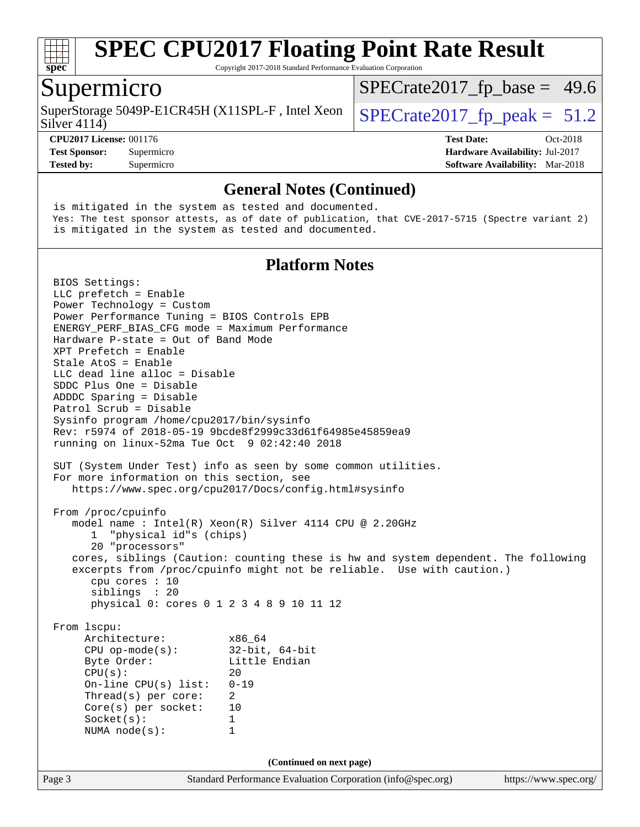

Copyright 2017-2018 Standard Performance Evaluation Corporation

### Supermicro

Silver 4114) SuperStorage 5049P-E1CR45H (X11SPL-F, Intel Xeon  $\big|$  [SPECrate2017\\_fp\\_peak =](http://www.spec.org/auto/cpu2017/Docs/result-fields.html#SPECrate2017fppeak) 51.2

 $SPECTate2017_fp\_base = 49.6$ 

**[CPU2017 License:](http://www.spec.org/auto/cpu2017/Docs/result-fields.html#CPU2017License)** 001176 **[Test Date:](http://www.spec.org/auto/cpu2017/Docs/result-fields.html#TestDate)** Oct-2018 **[Test Sponsor:](http://www.spec.org/auto/cpu2017/Docs/result-fields.html#TestSponsor)** Supermicro **[Hardware Availability:](http://www.spec.org/auto/cpu2017/Docs/result-fields.html#HardwareAvailability)** Jul-2017 **[Tested by:](http://www.spec.org/auto/cpu2017/Docs/result-fields.html#Testedby)** Supermicro **[Software Availability:](http://www.spec.org/auto/cpu2017/Docs/result-fields.html#SoftwareAvailability)** Mar-2018

#### **[General Notes \(Continued\)](http://www.spec.org/auto/cpu2017/Docs/result-fields.html#GeneralNotes)**

 is mitigated in the system as tested and documented. Yes: The test sponsor attests, as of date of publication, that CVE-2017-5715 (Spectre variant 2) is mitigated in the system as tested and documented.

#### **[Platform Notes](http://www.spec.org/auto/cpu2017/Docs/result-fields.html#PlatformNotes)**

Page 3 Standard Performance Evaluation Corporation [\(info@spec.org\)](mailto:info@spec.org) <https://www.spec.org/> BIOS Settings: LLC prefetch = Enable Power Technology = Custom Power Performance Tuning = BIOS Controls EPB ENERGY\_PERF\_BIAS\_CFG mode = Maximum Performance Hardware P-state = Out of Band Mode XPT Prefetch = Enable Stale AtoS = Enable LLC dead line alloc = Disable SDDC Plus One = Disable ADDDC Sparing = Disable Patrol Scrub = Disable Sysinfo program /home/cpu2017/bin/sysinfo Rev: r5974 of 2018-05-19 9bcde8f2999c33d61f64985e45859ea9 running on linux-52ma Tue Oct 9 02:42:40 2018 SUT (System Under Test) info as seen by some common utilities. For more information on this section, see <https://www.spec.org/cpu2017/Docs/config.html#sysinfo> From /proc/cpuinfo model name : Intel(R) Xeon(R) Silver 4114 CPU @ 2.20GHz 1 "physical id"s (chips) 20 "processors" cores, siblings (Caution: counting these is hw and system dependent. The following excerpts from /proc/cpuinfo might not be reliable. Use with caution.) cpu cores : 10 siblings : 20 physical 0: cores 0 1 2 3 4 8 9 10 11 12 From lscpu: Architecture: x86\_64 CPU op-mode(s): 32-bit, 64-bit Byte Order: Little Endian  $CPU(s):$  20 On-line CPU(s) list: 0-19 Thread(s) per core: 2 Core(s) per socket: 10 Socket(s): 1 NUMA node(s): 1 **(Continued on next page)**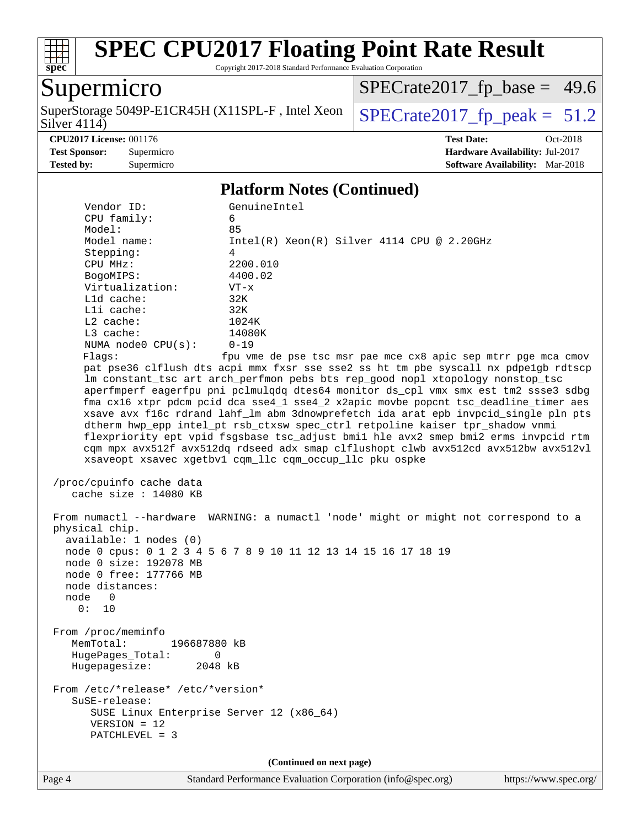

Copyright 2017-2018 Standard Performance Evaluation Corporation

## **Supermicro**

Silver  $4114$ ) SuperStorage 5049P-E1CR45H (X11SPL-F, Intel Xeon  $\Big|$  [SPECrate2017\\_fp\\_peak =](http://www.spec.org/auto/cpu2017/Docs/result-fields.html#SPECrate2017fppeak) 51.2

 $SPECrate2017_fp\_base = 49.6$ 

**[CPU2017 License:](http://www.spec.org/auto/cpu2017/Docs/result-fields.html#CPU2017License)** 001176 **[Test Date:](http://www.spec.org/auto/cpu2017/Docs/result-fields.html#TestDate)** Oct-2018 **[Test Sponsor:](http://www.spec.org/auto/cpu2017/Docs/result-fields.html#TestSponsor)** Supermicro **[Hardware Availability:](http://www.spec.org/auto/cpu2017/Docs/result-fields.html#HardwareAvailability)** Jul-2017 **[Tested by:](http://www.spec.org/auto/cpu2017/Docs/result-fields.html#Testedby)** Supermicro **[Software Availability:](http://www.spec.org/auto/cpu2017/Docs/result-fields.html#SoftwareAvailability)** Mar-2018

#### **[Platform Notes \(Continued\)](http://www.spec.org/auto/cpu2017/Docs/result-fields.html#PlatformNotes)**

| Vendor ID:<br>CPU family:                                                                                                           | GenuineIntel<br>б.                                                                                                                                                                                                                                                                                                                                                                                                                                                                                                                                                                                                                                                                                                                                                |
|-------------------------------------------------------------------------------------------------------------------------------------|-------------------------------------------------------------------------------------------------------------------------------------------------------------------------------------------------------------------------------------------------------------------------------------------------------------------------------------------------------------------------------------------------------------------------------------------------------------------------------------------------------------------------------------------------------------------------------------------------------------------------------------------------------------------------------------------------------------------------------------------------------------------|
| Model:                                                                                                                              | 85                                                                                                                                                                                                                                                                                                                                                                                                                                                                                                                                                                                                                                                                                                                                                                |
| Model name:                                                                                                                         | $Intel(R) Xeon(R) Silver 4114 CPU @ 2.20GHz$                                                                                                                                                                                                                                                                                                                                                                                                                                                                                                                                                                                                                                                                                                                      |
| Stepping:                                                                                                                           | 4                                                                                                                                                                                                                                                                                                                                                                                                                                                                                                                                                                                                                                                                                                                                                                 |
| CPU MHz:                                                                                                                            | 2200.010                                                                                                                                                                                                                                                                                                                                                                                                                                                                                                                                                                                                                                                                                                                                                          |
| BogoMIPS:                                                                                                                           | 4400.02                                                                                                                                                                                                                                                                                                                                                                                                                                                                                                                                                                                                                                                                                                                                                           |
| Virtualization:                                                                                                                     | $VT - x$                                                                                                                                                                                                                                                                                                                                                                                                                                                                                                                                                                                                                                                                                                                                                          |
| L1d cache:                                                                                                                          | 32K                                                                                                                                                                                                                                                                                                                                                                                                                                                                                                                                                                                                                                                                                                                                                               |
| Lli cache:                                                                                                                          | 32K                                                                                                                                                                                                                                                                                                                                                                                                                                                                                                                                                                                                                                                                                                                                                               |
| $L2$ cache:                                                                                                                         | 1024K                                                                                                                                                                                                                                                                                                                                                                                                                                                                                                                                                                                                                                                                                                                                                             |
| $L3$ cache:                                                                                                                         | 14080K                                                                                                                                                                                                                                                                                                                                                                                                                                                                                                                                                                                                                                                                                                                                                            |
| NUMA node0 CPU(s):                                                                                                                  | $0 - 19$                                                                                                                                                                                                                                                                                                                                                                                                                                                                                                                                                                                                                                                                                                                                                          |
| Flagg:                                                                                                                              | fpu vme de pse tsc msr pae mce cx8 apic sep mtrr pge mca cmov                                                                                                                                                                                                                                                                                                                                                                                                                                                                                                                                                                                                                                                                                                     |
|                                                                                                                                     | pat pse36 clflush dts acpi mmx fxsr sse sse2 ss ht tm pbe syscall nx pdpelgb rdtscp<br>lm constant_tsc art arch_perfmon pebs bts rep_good nopl xtopology nonstop_tsc<br>aperfmperf eagerfpu pni pclmulqdq dtes64 monitor ds_cpl vmx smx est tm2 ssse3 sdbg<br>fma cx16 xtpr pdcm pcid dca sse4_1 sse4_2 x2apic movbe popcnt tsc_deadline_timer aes<br>xsave avx f16c rdrand lahf_lm abm 3dnowprefetch ida arat epb invpcid_single pln pts<br>dtherm hwp_epp intel_pt rsb_ctxsw spec_ctrl retpoline kaiser tpr_shadow vnmi<br>flexpriority ept vpid fsgsbase tsc_adjust bmil hle avx2 smep bmi2 erms invpcid rtm<br>cqm mpx avx512f avx512dq rdseed adx smap clflushopt clwb avx512cd avx512bw avx512vl<br>xsaveopt xsavec xgetbvl cqm_llc cqm_occup_llc pku ospke |
| /proc/cpuinfo cache data<br>cache size : 14080 KB                                                                                   |                                                                                                                                                                                                                                                                                                                                                                                                                                                                                                                                                                                                                                                                                                                                                                   |
| physical chip.<br>available: 1 nodes (0)<br>node 0 size: 192078 MB<br>node 0 free: 177766 MB<br>node distances:<br>node 0<br>0: 10  | From numactl --hardware WARNING: a numactl 'node' might or might not correspond to a<br>node 0 cpus: 0 1 2 3 4 5 6 7 8 9 10 11 12 13 14 15 16 17 18 19                                                                                                                                                                                                                                                                                                                                                                                                                                                                                                                                                                                                            |
| From /proc/meminfo<br>MemTotal:<br>196687880 kB<br>HugePages_Total:<br>0<br>Hugepagesize:<br>2048 kB                                |                                                                                                                                                                                                                                                                                                                                                                                                                                                                                                                                                                                                                                                                                                                                                                   |
| From /etc/*release* /etc/*version*<br>SuSE-release:<br>SUSE Linux Enterprise Server 12 (x86_64)<br>$VERSION = 12$<br>PATCHLEVEL = 3 |                                                                                                                                                                                                                                                                                                                                                                                                                                                                                                                                                                                                                                                                                                                                                                   |
|                                                                                                                                     | (Continued on next page)                                                                                                                                                                                                                                                                                                                                                                                                                                                                                                                                                                                                                                                                                                                                          |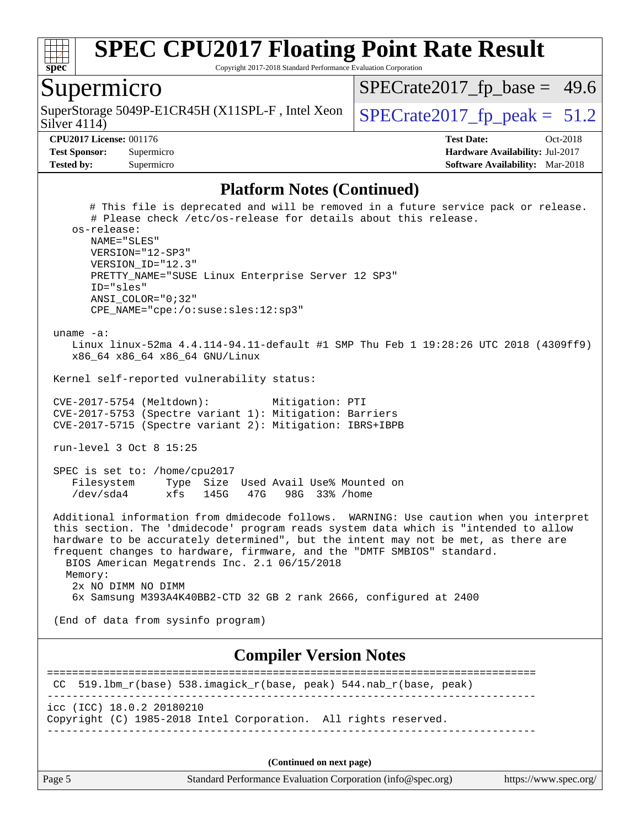

Copyright 2017-2018 Standard Performance Evaluation Corporation

### Supermicro

Silver 4114) SuperStorage 5049P-E1CR45H (X11SPL-F, Intel Xeon  $\big|$  [SPECrate2017\\_fp\\_peak =](http://www.spec.org/auto/cpu2017/Docs/result-fields.html#SPECrate2017fppeak) 51.2

 $SPECTate2017_fp\_base = 49.6$ 

**[CPU2017 License:](http://www.spec.org/auto/cpu2017/Docs/result-fields.html#CPU2017License)** 001176 **[Test Date:](http://www.spec.org/auto/cpu2017/Docs/result-fields.html#TestDate)** Oct-2018 **[Test Sponsor:](http://www.spec.org/auto/cpu2017/Docs/result-fields.html#TestSponsor)** Supermicro **[Hardware Availability:](http://www.spec.org/auto/cpu2017/Docs/result-fields.html#HardwareAvailability)** Jul-2017 **[Tested by:](http://www.spec.org/auto/cpu2017/Docs/result-fields.html#Testedby)** Supermicro **[Software Availability:](http://www.spec.org/auto/cpu2017/Docs/result-fields.html#SoftwareAvailability)** Mar-2018

#### **[Platform Notes \(Continued\)](http://www.spec.org/auto/cpu2017/Docs/result-fields.html#PlatformNotes)**

 # This file is deprecated and will be removed in a future service pack or release. # Please check /etc/os-release for details about this release. os-release: NAME="SLES" VERSION="12-SP3" VERSION\_ID="12.3" PRETTY\_NAME="SUSE Linux Enterprise Server 12 SP3" ID="sles" ANSI\_COLOR="0;32" CPE\_NAME="cpe:/o:suse:sles:12:sp3" uname -a: Linux linux-52ma 4.4.114-94.11-default #1 SMP Thu Feb 1 19:28:26 UTC 2018 (4309ff9) x86\_64 x86\_64 x86\_64 GNU/Linux Kernel self-reported vulnerability status: CVE-2017-5754 (Meltdown): Mitigation: PTI CVE-2017-5753 (Spectre variant 1): Mitigation: Barriers CVE-2017-5715 (Spectre variant 2): Mitigation: IBRS+IBPB run-level 3 Oct 8 15:25 SPEC is set to: /home/cpu2017 Filesystem Type Size Used Avail Use% Mounted on /dev/sda4 xfs 145G 47G 98G 33% /home Additional information from dmidecode follows. WARNING: Use caution when you interpret this section. The 'dmidecode' program reads system data which is "intended to allow hardware to be accurately determined", but the intent may not be met, as there are frequent changes to hardware, firmware, and the "DMTF SMBIOS" standard. BIOS American Megatrends Inc. 2.1 06/15/2018 Memory: 2x NO DIMM NO DIMM 6x Samsung M393A4K40BB2-CTD 32 GB 2 rank 2666, configured at 2400 (End of data from sysinfo program) **[Compiler Version Notes](http://www.spec.org/auto/cpu2017/Docs/result-fields.html#CompilerVersionNotes)** ============================================================================== CC 519.lbm\_r(base) 538.imagick\_r(base, peak) 544.nab\_r(base, peak) ----------------------------------------------------------------------------- icc (ICC) 18.0.2 20180210 Copyright (C) 1985-2018 Intel Corporation. All rights reserved.

------------------------------------------------------------------------------

**(Continued on next page)**

Page 5 Standard Performance Evaluation Corporation [\(info@spec.org\)](mailto:info@spec.org) <https://www.spec.org/>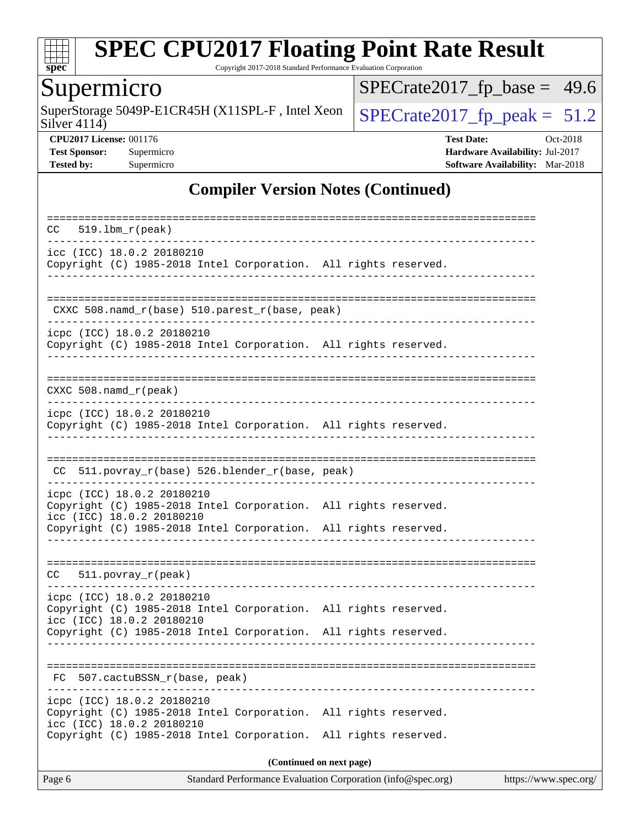

Copyright 2017-2018 Standard Performance Evaluation Corporation

## Supermicro

Silver 4114) SuperStorage 5049P-E1CR45H (X11SPL-F, Intel Xeon  $\Big|$  [SPECrate2017\\_fp\\_peak =](http://www.spec.org/auto/cpu2017/Docs/result-fields.html#SPECrate2017fppeak) 51.2

 $SPECrate2017_fp\_base = 49.6$ 

**[CPU2017 License:](http://www.spec.org/auto/cpu2017/Docs/result-fields.html#CPU2017License)** 001176 **[Test Date:](http://www.spec.org/auto/cpu2017/Docs/result-fields.html#TestDate)** Oct-2018 **[Test Sponsor:](http://www.spec.org/auto/cpu2017/Docs/result-fields.html#TestSponsor)** Supermicro **[Hardware Availability:](http://www.spec.org/auto/cpu2017/Docs/result-fields.html#HardwareAvailability)** Jul-2017 **[Tested by:](http://www.spec.org/auto/cpu2017/Docs/result-fields.html#Testedby)** Supermicro **[Software Availability:](http://www.spec.org/auto/cpu2017/Docs/result-fields.html#SoftwareAvailability)** Mar-2018

### **[Compiler Version Notes \(Continued\)](http://www.spec.org/auto/cpu2017/Docs/result-fields.html#CompilerVersionNotes)**

| $519.1$ bm $r$ (peak)<br>CC.                                                                                                                                                                  |  |  |  |  |  |  |  |  |
|-----------------------------------------------------------------------------------------------------------------------------------------------------------------------------------------------|--|--|--|--|--|--|--|--|
| icc (ICC) 18.0.2 20180210<br>Copyright (C) 1985-2018 Intel Corporation. All rights reserved.                                                                                                  |  |  |  |  |  |  |  |  |
| CXXC 508.namd_r(base) 510.parest_r(base, peak)                                                                                                                                                |  |  |  |  |  |  |  |  |
| icpc (ICC) 18.0.2 20180210<br>Copyright (C) 1985-2018 Intel Corporation. All rights reserved.                                                                                                 |  |  |  |  |  |  |  |  |
| $CXXC 508.namd_r (peak)$                                                                                                                                                                      |  |  |  |  |  |  |  |  |
| icpc (ICC) 18.0.2 20180210<br>Copyright (C) 1985-2018 Intel Corporation. All rights reserved.                                                                                                 |  |  |  |  |  |  |  |  |
| CC 511.povray_r(base) 526.blender_r(base, peak)                                                                                                                                               |  |  |  |  |  |  |  |  |
| icpc (ICC) 18.0.2 20180210<br>Copyright (C) 1985-2018 Intel Corporation. All rights reserved.<br>icc (ICC) 18.0.2 20180210<br>Copyright (C) 1985-2018 Intel Corporation. All rights reserved. |  |  |  |  |  |  |  |  |
| 511.povray_r(peak)<br>CC                                                                                                                                                                      |  |  |  |  |  |  |  |  |
| icpc (ICC) 18.0.2 20180210<br>Copyright (C) 1985-2018 Intel Corporation. All rights reserved.<br>icc (ICC) 18.0.2 20180210<br>Copyright (C) 1985-2018 Intel Corporation. All rights reserved. |  |  |  |  |  |  |  |  |
| FC 507.cactuBSSN_r(base, peak)                                                                                                                                                                |  |  |  |  |  |  |  |  |
| icpc (ICC) 18.0.2 20180210<br>Copyright (C) 1985-2018 Intel Corporation. All rights reserved.<br>icc (ICC) 18.0.2 20180210<br>Copyright (C) 1985-2018 Intel Corporation. All rights reserved. |  |  |  |  |  |  |  |  |
| (Continued on next page)                                                                                                                                                                      |  |  |  |  |  |  |  |  |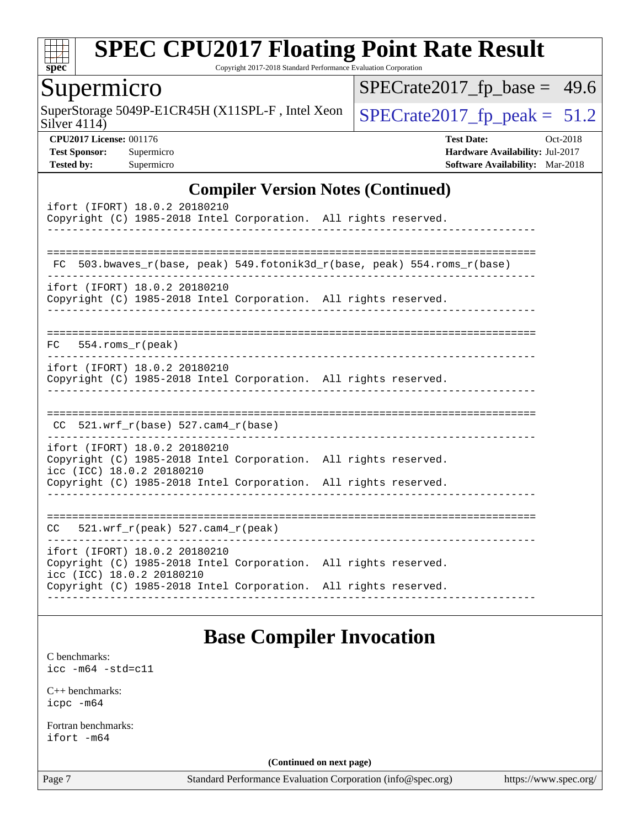

Copyright 2017-2018 Standard Performance Evaluation Corporation

### Supermicro

Silver 4114) SuperStorage 5049P-E1CR45H (X11SPL-F, Intel Xeon  $\Big|$  [SPECrate2017\\_fp\\_peak =](http://www.spec.org/auto/cpu2017/Docs/result-fields.html#SPECrate2017fppeak) 51.2

 $SPECrate2017_fp\_base = 49.6$ 

**[CPU2017 License:](http://www.spec.org/auto/cpu2017/Docs/result-fields.html#CPU2017License)** 001176 **[Test Date:](http://www.spec.org/auto/cpu2017/Docs/result-fields.html#TestDate)** Oct-2018 **[Test Sponsor:](http://www.spec.org/auto/cpu2017/Docs/result-fields.html#TestSponsor)** Supermicro **[Hardware Availability:](http://www.spec.org/auto/cpu2017/Docs/result-fields.html#HardwareAvailability)** Jul-2017 **[Tested by:](http://www.spec.org/auto/cpu2017/Docs/result-fields.html#Testedby)** Supermicro **[Software Availability:](http://www.spec.org/auto/cpu2017/Docs/result-fields.html#SoftwareAvailability)** Mar-2018

#### **[Compiler Version Notes \(Continued\)](http://www.spec.org/auto/cpu2017/Docs/result-fields.html#CompilerVersionNotes)**

| ifort (IFORT) 18.0.2 20180210<br>Copyright (C) 1985-2018 Intel Corporation. All rights reserved.                                                                                                                                                        |  |
|---------------------------------------------------------------------------------------------------------------------------------------------------------------------------------------------------------------------------------------------------------|--|
| FC 503.bwaves_r(base, peak) 549.fotonik3d_r(base, peak) 554.roms_r(base)                                                                                                                                                                                |  |
| ifort (IFORT) 18.0.2 20180210<br>Copyright (C) 1985-2018 Intel Corporation. All rights reserved.                                                                                                                                                        |  |
| $FC$ 554. roms $r$ (peak)                                                                                                                                                                                                                               |  |
| ifort (IFORT) 18.0.2 20180210<br>Copyright (C) 1985-2018 Intel Corporation. All rights reserved.                                                                                                                                                        |  |
| $CC$ 521.wrf_r(base) 527.cam4_r(base)                                                                                                                                                                                                                   |  |
| ifort (IFORT) 18.0.2 20180210<br>Copyright (C) 1985-2018 Intel Corporation. All rights reserved.<br>icc (ICC) 18.0.2 20180210                                                                                                                           |  |
| Copyright (C) 1985-2018 Intel Corporation. All rights reserved.                                                                                                                                                                                         |  |
| $CC = 521.wrf_r(peak) 527.cam4_r(peak)$                                                                                                                                                                                                                 |  |
| -------<br>ifort (IFORT) 18.0.2 20180210<br>Copyright (C) 1985-2018 Intel Corporation. All rights reserved.<br>icc (ICC) 18.0.2 20180210<br>Copyright (C) 1985-2018 Intel Corporation. All rights reserved.<br>. <u>_ _ _ _ _ _ _ _ _ _ _ _ _ _ _</u> _ |  |

## **[Base Compiler Invocation](http://www.spec.org/auto/cpu2017/Docs/result-fields.html#BaseCompilerInvocation)**

[C benchmarks](http://www.spec.org/auto/cpu2017/Docs/result-fields.html#Cbenchmarks): [icc -m64 -std=c11](http://www.spec.org/cpu2017/results/res2018q4/cpu2017-20181015-09226.flags.html#user_CCbase_intel_icc_64bit_c11_33ee0cdaae7deeeab2a9725423ba97205ce30f63b9926c2519791662299b76a0318f32ddfffdc46587804de3178b4f9328c46fa7c2b0cd779d7a61945c91cd35)

[C++ benchmarks:](http://www.spec.org/auto/cpu2017/Docs/result-fields.html#CXXbenchmarks) [icpc -m64](http://www.spec.org/cpu2017/results/res2018q4/cpu2017-20181015-09226.flags.html#user_CXXbase_intel_icpc_64bit_4ecb2543ae3f1412ef961e0650ca070fec7b7afdcd6ed48761b84423119d1bf6bdf5cad15b44d48e7256388bc77273b966e5eb805aefd121eb22e9299b2ec9d9)

[Fortran benchmarks](http://www.spec.org/auto/cpu2017/Docs/result-fields.html#Fortranbenchmarks): [ifort -m64](http://www.spec.org/cpu2017/results/res2018q4/cpu2017-20181015-09226.flags.html#user_FCbase_intel_ifort_64bit_24f2bb282fbaeffd6157abe4f878425411749daecae9a33200eee2bee2fe76f3b89351d69a8130dd5949958ce389cf37ff59a95e7a40d588e8d3a57e0c3fd751)

**(Continued on next page)**

Page 7 Standard Performance Evaluation Corporation [\(info@spec.org\)](mailto:info@spec.org) <https://www.spec.org/>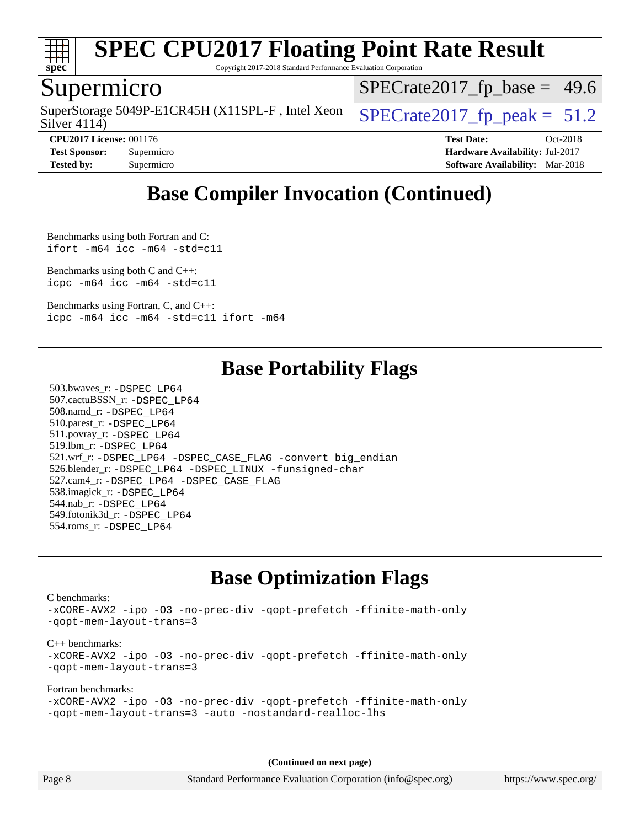

Copyright 2017-2018 Standard Performance Evaluation Corporation

### Supermicro

Silver 4114) SuperStorage 5049P-E1CR45H (X11SPL-F, Intel Xeon  $\big|$  [SPECrate2017\\_fp\\_peak =](http://www.spec.org/auto/cpu2017/Docs/result-fields.html#SPECrate2017fppeak) 51.2

 $SPECrate2017_fp\_base = 49.6$ 

**[CPU2017 License:](http://www.spec.org/auto/cpu2017/Docs/result-fields.html#CPU2017License)** 001176 **[Test Date:](http://www.spec.org/auto/cpu2017/Docs/result-fields.html#TestDate)** Oct-2018 **[Test Sponsor:](http://www.spec.org/auto/cpu2017/Docs/result-fields.html#TestSponsor)** Supermicro **[Hardware Availability:](http://www.spec.org/auto/cpu2017/Docs/result-fields.html#HardwareAvailability)** Jul-2017 **[Tested by:](http://www.spec.org/auto/cpu2017/Docs/result-fields.html#Testedby)** Supermicro **[Software Availability:](http://www.spec.org/auto/cpu2017/Docs/result-fields.html#SoftwareAvailability)** Mar-2018

## **[Base Compiler Invocation \(Continued\)](http://www.spec.org/auto/cpu2017/Docs/result-fields.html#BaseCompilerInvocation)**

[Benchmarks using both Fortran and C](http://www.spec.org/auto/cpu2017/Docs/result-fields.html#BenchmarksusingbothFortranandC): [ifort -m64](http://www.spec.org/cpu2017/results/res2018q4/cpu2017-20181015-09226.flags.html#user_CC_FCbase_intel_ifort_64bit_24f2bb282fbaeffd6157abe4f878425411749daecae9a33200eee2bee2fe76f3b89351d69a8130dd5949958ce389cf37ff59a95e7a40d588e8d3a57e0c3fd751) [icc -m64 -std=c11](http://www.spec.org/cpu2017/results/res2018q4/cpu2017-20181015-09226.flags.html#user_CC_FCbase_intel_icc_64bit_c11_33ee0cdaae7deeeab2a9725423ba97205ce30f63b9926c2519791662299b76a0318f32ddfffdc46587804de3178b4f9328c46fa7c2b0cd779d7a61945c91cd35)

[Benchmarks using both C and C++](http://www.spec.org/auto/cpu2017/Docs/result-fields.html#BenchmarksusingbothCandCXX): [icpc -m64](http://www.spec.org/cpu2017/results/res2018q4/cpu2017-20181015-09226.flags.html#user_CC_CXXbase_intel_icpc_64bit_4ecb2543ae3f1412ef961e0650ca070fec7b7afdcd6ed48761b84423119d1bf6bdf5cad15b44d48e7256388bc77273b966e5eb805aefd121eb22e9299b2ec9d9) [icc -m64 -std=c11](http://www.spec.org/cpu2017/results/res2018q4/cpu2017-20181015-09226.flags.html#user_CC_CXXbase_intel_icc_64bit_c11_33ee0cdaae7deeeab2a9725423ba97205ce30f63b9926c2519791662299b76a0318f32ddfffdc46587804de3178b4f9328c46fa7c2b0cd779d7a61945c91cd35)

[Benchmarks using Fortran, C, and C++:](http://www.spec.org/auto/cpu2017/Docs/result-fields.html#BenchmarksusingFortranCandCXX) [icpc -m64](http://www.spec.org/cpu2017/results/res2018q4/cpu2017-20181015-09226.flags.html#user_CC_CXX_FCbase_intel_icpc_64bit_4ecb2543ae3f1412ef961e0650ca070fec7b7afdcd6ed48761b84423119d1bf6bdf5cad15b44d48e7256388bc77273b966e5eb805aefd121eb22e9299b2ec9d9) [icc -m64 -std=c11](http://www.spec.org/cpu2017/results/res2018q4/cpu2017-20181015-09226.flags.html#user_CC_CXX_FCbase_intel_icc_64bit_c11_33ee0cdaae7deeeab2a9725423ba97205ce30f63b9926c2519791662299b76a0318f32ddfffdc46587804de3178b4f9328c46fa7c2b0cd779d7a61945c91cd35) [ifort -m64](http://www.spec.org/cpu2017/results/res2018q4/cpu2017-20181015-09226.flags.html#user_CC_CXX_FCbase_intel_ifort_64bit_24f2bb282fbaeffd6157abe4f878425411749daecae9a33200eee2bee2fe76f3b89351d69a8130dd5949958ce389cf37ff59a95e7a40d588e8d3a57e0c3fd751)

### **[Base Portability Flags](http://www.spec.org/auto/cpu2017/Docs/result-fields.html#BasePortabilityFlags)**

 503.bwaves\_r: [-DSPEC\\_LP64](http://www.spec.org/cpu2017/results/res2018q4/cpu2017-20181015-09226.flags.html#suite_basePORTABILITY503_bwaves_r_DSPEC_LP64) 507.cactuBSSN\_r: [-DSPEC\\_LP64](http://www.spec.org/cpu2017/results/res2018q4/cpu2017-20181015-09226.flags.html#suite_basePORTABILITY507_cactuBSSN_r_DSPEC_LP64) 508.namd\_r: [-DSPEC\\_LP64](http://www.spec.org/cpu2017/results/res2018q4/cpu2017-20181015-09226.flags.html#suite_basePORTABILITY508_namd_r_DSPEC_LP64) 510.parest\_r: [-DSPEC\\_LP64](http://www.spec.org/cpu2017/results/res2018q4/cpu2017-20181015-09226.flags.html#suite_basePORTABILITY510_parest_r_DSPEC_LP64) 511.povray\_r: [-DSPEC\\_LP64](http://www.spec.org/cpu2017/results/res2018q4/cpu2017-20181015-09226.flags.html#suite_basePORTABILITY511_povray_r_DSPEC_LP64) 519.lbm\_r: [-DSPEC\\_LP64](http://www.spec.org/cpu2017/results/res2018q4/cpu2017-20181015-09226.flags.html#suite_basePORTABILITY519_lbm_r_DSPEC_LP64) 521.wrf\_r: [-DSPEC\\_LP64](http://www.spec.org/cpu2017/results/res2018q4/cpu2017-20181015-09226.flags.html#suite_basePORTABILITY521_wrf_r_DSPEC_LP64) [-DSPEC\\_CASE\\_FLAG](http://www.spec.org/cpu2017/results/res2018q4/cpu2017-20181015-09226.flags.html#b521.wrf_r_baseCPORTABILITY_DSPEC_CASE_FLAG) [-convert big\\_endian](http://www.spec.org/cpu2017/results/res2018q4/cpu2017-20181015-09226.flags.html#user_baseFPORTABILITY521_wrf_r_convert_big_endian_c3194028bc08c63ac5d04de18c48ce6d347e4e562e8892b8bdbdc0214820426deb8554edfa529a3fb25a586e65a3d812c835984020483e7e73212c4d31a38223) 526.blender\_r: [-DSPEC\\_LP64](http://www.spec.org/cpu2017/results/res2018q4/cpu2017-20181015-09226.flags.html#suite_basePORTABILITY526_blender_r_DSPEC_LP64) [-DSPEC\\_LINUX](http://www.spec.org/cpu2017/results/res2018q4/cpu2017-20181015-09226.flags.html#b526.blender_r_baseCPORTABILITY_DSPEC_LINUX) [-funsigned-char](http://www.spec.org/cpu2017/results/res2018q4/cpu2017-20181015-09226.flags.html#user_baseCPORTABILITY526_blender_r_force_uchar_40c60f00ab013830e2dd6774aeded3ff59883ba5a1fc5fc14077f794d777847726e2a5858cbc7672e36e1b067e7e5c1d9a74f7176df07886a243d7cc18edfe67) 527.cam4\_r: [-DSPEC\\_LP64](http://www.spec.org/cpu2017/results/res2018q4/cpu2017-20181015-09226.flags.html#suite_basePORTABILITY527_cam4_r_DSPEC_LP64) [-DSPEC\\_CASE\\_FLAG](http://www.spec.org/cpu2017/results/res2018q4/cpu2017-20181015-09226.flags.html#b527.cam4_r_baseCPORTABILITY_DSPEC_CASE_FLAG) 538.imagick\_r: [-DSPEC\\_LP64](http://www.spec.org/cpu2017/results/res2018q4/cpu2017-20181015-09226.flags.html#suite_basePORTABILITY538_imagick_r_DSPEC_LP64) 544.nab\_r: [-DSPEC\\_LP64](http://www.spec.org/cpu2017/results/res2018q4/cpu2017-20181015-09226.flags.html#suite_basePORTABILITY544_nab_r_DSPEC_LP64) 549.fotonik3d\_r: [-DSPEC\\_LP64](http://www.spec.org/cpu2017/results/res2018q4/cpu2017-20181015-09226.flags.html#suite_basePORTABILITY549_fotonik3d_r_DSPEC_LP64) 554.roms\_r: [-DSPEC\\_LP64](http://www.spec.org/cpu2017/results/res2018q4/cpu2017-20181015-09226.flags.html#suite_basePORTABILITY554_roms_r_DSPEC_LP64)

## **[Base Optimization Flags](http://www.spec.org/auto/cpu2017/Docs/result-fields.html#BaseOptimizationFlags)**

[C benchmarks](http://www.spec.org/auto/cpu2017/Docs/result-fields.html#Cbenchmarks):

[-xCORE-AVX2](http://www.spec.org/cpu2017/results/res2018q4/cpu2017-20181015-09226.flags.html#user_CCbase_f-xCORE-AVX2) [-ipo](http://www.spec.org/cpu2017/results/res2018q4/cpu2017-20181015-09226.flags.html#user_CCbase_f-ipo) [-O3](http://www.spec.org/cpu2017/results/res2018q4/cpu2017-20181015-09226.flags.html#user_CCbase_f-O3) [-no-prec-div](http://www.spec.org/cpu2017/results/res2018q4/cpu2017-20181015-09226.flags.html#user_CCbase_f-no-prec-div) [-qopt-prefetch](http://www.spec.org/cpu2017/results/res2018q4/cpu2017-20181015-09226.flags.html#user_CCbase_f-qopt-prefetch) [-ffinite-math-only](http://www.spec.org/cpu2017/results/res2018q4/cpu2017-20181015-09226.flags.html#user_CCbase_f_finite_math_only_cb91587bd2077682c4b38af759c288ed7c732db004271a9512da14a4f8007909a5f1427ecbf1a0fb78ff2a814402c6114ac565ca162485bbcae155b5e4258871) [-qopt-mem-layout-trans=3](http://www.spec.org/cpu2017/results/res2018q4/cpu2017-20181015-09226.flags.html#user_CCbase_f-qopt-mem-layout-trans_de80db37974c74b1f0e20d883f0b675c88c3b01e9d123adea9b28688d64333345fb62bc4a798493513fdb68f60282f9a726aa07f478b2f7113531aecce732043) [C++ benchmarks:](http://www.spec.org/auto/cpu2017/Docs/result-fields.html#CXXbenchmarks) [-xCORE-AVX2](http://www.spec.org/cpu2017/results/res2018q4/cpu2017-20181015-09226.flags.html#user_CXXbase_f-xCORE-AVX2) [-ipo](http://www.spec.org/cpu2017/results/res2018q4/cpu2017-20181015-09226.flags.html#user_CXXbase_f-ipo) [-O3](http://www.spec.org/cpu2017/results/res2018q4/cpu2017-20181015-09226.flags.html#user_CXXbase_f-O3) [-no-prec-div](http://www.spec.org/cpu2017/results/res2018q4/cpu2017-20181015-09226.flags.html#user_CXXbase_f-no-prec-div) [-qopt-prefetch](http://www.spec.org/cpu2017/results/res2018q4/cpu2017-20181015-09226.flags.html#user_CXXbase_f-qopt-prefetch) [-ffinite-math-only](http://www.spec.org/cpu2017/results/res2018q4/cpu2017-20181015-09226.flags.html#user_CXXbase_f_finite_math_only_cb91587bd2077682c4b38af759c288ed7c732db004271a9512da14a4f8007909a5f1427ecbf1a0fb78ff2a814402c6114ac565ca162485bbcae155b5e4258871) [-qopt-mem-layout-trans=3](http://www.spec.org/cpu2017/results/res2018q4/cpu2017-20181015-09226.flags.html#user_CXXbase_f-qopt-mem-layout-trans_de80db37974c74b1f0e20d883f0b675c88c3b01e9d123adea9b28688d64333345fb62bc4a798493513fdb68f60282f9a726aa07f478b2f7113531aecce732043) [Fortran benchmarks](http://www.spec.org/auto/cpu2017/Docs/result-fields.html#Fortranbenchmarks):

```
-xCORE-AVX2 -ipo -O3 -no-prec-div -qopt-prefetch -ffinite-math-only
-qopt-mem-layout-trans=3 -auto -nostandard-realloc-lhs
```
**(Continued on next page)**

Page 8 Standard Performance Evaluation Corporation [\(info@spec.org\)](mailto:info@spec.org) <https://www.spec.org/>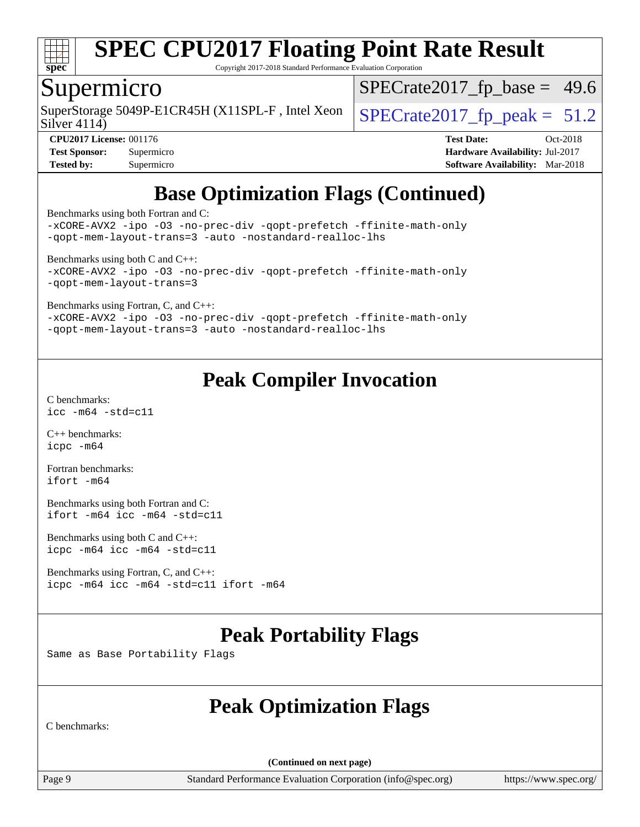

Copyright 2017-2018 Standard Performance Evaluation Corporation

### Supermicro

Silver 4114) SuperStorage 5049P-E1CR45H (X11SPL-F, Intel Xeon  $\big|$  [SPECrate2017\\_fp\\_peak =](http://www.spec.org/auto/cpu2017/Docs/result-fields.html#SPECrate2017fppeak) 51.2

 $SPECrate2017_fp\_base = 49.6$ 

**[Tested by:](http://www.spec.org/auto/cpu2017/Docs/result-fields.html#Testedby)** Supermicro **[Software Availability:](http://www.spec.org/auto/cpu2017/Docs/result-fields.html#SoftwareAvailability)** Mar-2018

**[CPU2017 License:](http://www.spec.org/auto/cpu2017/Docs/result-fields.html#CPU2017License)** 001176 **[Test Date:](http://www.spec.org/auto/cpu2017/Docs/result-fields.html#TestDate)** Oct-2018 **[Test Sponsor:](http://www.spec.org/auto/cpu2017/Docs/result-fields.html#TestSponsor)** Supermicro **[Hardware Availability:](http://www.spec.org/auto/cpu2017/Docs/result-fields.html#HardwareAvailability)** Jul-2017

## **[Base Optimization Flags \(Continued\)](http://www.spec.org/auto/cpu2017/Docs/result-fields.html#BaseOptimizationFlags)**

[Benchmarks using both Fortran and C](http://www.spec.org/auto/cpu2017/Docs/result-fields.html#BenchmarksusingbothFortranandC):

[-xCORE-AVX2](http://www.spec.org/cpu2017/results/res2018q4/cpu2017-20181015-09226.flags.html#user_CC_FCbase_f-xCORE-AVX2) [-ipo](http://www.spec.org/cpu2017/results/res2018q4/cpu2017-20181015-09226.flags.html#user_CC_FCbase_f-ipo) [-O3](http://www.spec.org/cpu2017/results/res2018q4/cpu2017-20181015-09226.flags.html#user_CC_FCbase_f-O3) [-no-prec-div](http://www.spec.org/cpu2017/results/res2018q4/cpu2017-20181015-09226.flags.html#user_CC_FCbase_f-no-prec-div) [-qopt-prefetch](http://www.spec.org/cpu2017/results/res2018q4/cpu2017-20181015-09226.flags.html#user_CC_FCbase_f-qopt-prefetch) [-ffinite-math-only](http://www.spec.org/cpu2017/results/res2018q4/cpu2017-20181015-09226.flags.html#user_CC_FCbase_f_finite_math_only_cb91587bd2077682c4b38af759c288ed7c732db004271a9512da14a4f8007909a5f1427ecbf1a0fb78ff2a814402c6114ac565ca162485bbcae155b5e4258871) [-qopt-mem-layout-trans=3](http://www.spec.org/cpu2017/results/res2018q4/cpu2017-20181015-09226.flags.html#user_CC_FCbase_f-qopt-mem-layout-trans_de80db37974c74b1f0e20d883f0b675c88c3b01e9d123adea9b28688d64333345fb62bc4a798493513fdb68f60282f9a726aa07f478b2f7113531aecce732043) [-auto](http://www.spec.org/cpu2017/results/res2018q4/cpu2017-20181015-09226.flags.html#user_CC_FCbase_f-auto) [-nostandard-realloc-lhs](http://www.spec.org/cpu2017/results/res2018q4/cpu2017-20181015-09226.flags.html#user_CC_FCbase_f_2003_std_realloc_82b4557e90729c0f113870c07e44d33d6f5a304b4f63d4c15d2d0f1fab99f5daaed73bdb9275d9ae411527f28b936061aa8b9c8f2d63842963b95c9dd6426b8a)

[Benchmarks using both C and C++](http://www.spec.org/auto/cpu2017/Docs/result-fields.html#BenchmarksusingbothCandCXX): [-xCORE-AVX2](http://www.spec.org/cpu2017/results/res2018q4/cpu2017-20181015-09226.flags.html#user_CC_CXXbase_f-xCORE-AVX2) [-ipo](http://www.spec.org/cpu2017/results/res2018q4/cpu2017-20181015-09226.flags.html#user_CC_CXXbase_f-ipo) [-O3](http://www.spec.org/cpu2017/results/res2018q4/cpu2017-20181015-09226.flags.html#user_CC_CXXbase_f-O3) [-no-prec-div](http://www.spec.org/cpu2017/results/res2018q4/cpu2017-20181015-09226.flags.html#user_CC_CXXbase_f-no-prec-div) [-qopt-prefetch](http://www.spec.org/cpu2017/results/res2018q4/cpu2017-20181015-09226.flags.html#user_CC_CXXbase_f-qopt-prefetch) [-ffinite-math-only](http://www.spec.org/cpu2017/results/res2018q4/cpu2017-20181015-09226.flags.html#user_CC_CXXbase_f_finite_math_only_cb91587bd2077682c4b38af759c288ed7c732db004271a9512da14a4f8007909a5f1427ecbf1a0fb78ff2a814402c6114ac565ca162485bbcae155b5e4258871) [-qopt-mem-layout-trans=3](http://www.spec.org/cpu2017/results/res2018q4/cpu2017-20181015-09226.flags.html#user_CC_CXXbase_f-qopt-mem-layout-trans_de80db37974c74b1f0e20d883f0b675c88c3b01e9d123adea9b28688d64333345fb62bc4a798493513fdb68f60282f9a726aa07f478b2f7113531aecce732043)

[Benchmarks using Fortran, C, and C++:](http://www.spec.org/auto/cpu2017/Docs/result-fields.html#BenchmarksusingFortranCandCXX)

[-xCORE-AVX2](http://www.spec.org/cpu2017/results/res2018q4/cpu2017-20181015-09226.flags.html#user_CC_CXX_FCbase_f-xCORE-AVX2) [-ipo](http://www.spec.org/cpu2017/results/res2018q4/cpu2017-20181015-09226.flags.html#user_CC_CXX_FCbase_f-ipo) [-O3](http://www.spec.org/cpu2017/results/res2018q4/cpu2017-20181015-09226.flags.html#user_CC_CXX_FCbase_f-O3) [-no-prec-div](http://www.spec.org/cpu2017/results/res2018q4/cpu2017-20181015-09226.flags.html#user_CC_CXX_FCbase_f-no-prec-div) [-qopt-prefetch](http://www.spec.org/cpu2017/results/res2018q4/cpu2017-20181015-09226.flags.html#user_CC_CXX_FCbase_f-qopt-prefetch) [-ffinite-math-only](http://www.spec.org/cpu2017/results/res2018q4/cpu2017-20181015-09226.flags.html#user_CC_CXX_FCbase_f_finite_math_only_cb91587bd2077682c4b38af759c288ed7c732db004271a9512da14a4f8007909a5f1427ecbf1a0fb78ff2a814402c6114ac565ca162485bbcae155b5e4258871) [-qopt-mem-layout-trans=3](http://www.spec.org/cpu2017/results/res2018q4/cpu2017-20181015-09226.flags.html#user_CC_CXX_FCbase_f-qopt-mem-layout-trans_de80db37974c74b1f0e20d883f0b675c88c3b01e9d123adea9b28688d64333345fb62bc4a798493513fdb68f60282f9a726aa07f478b2f7113531aecce732043) [-auto](http://www.spec.org/cpu2017/results/res2018q4/cpu2017-20181015-09226.flags.html#user_CC_CXX_FCbase_f-auto) [-nostandard-realloc-lhs](http://www.spec.org/cpu2017/results/res2018q4/cpu2017-20181015-09226.flags.html#user_CC_CXX_FCbase_f_2003_std_realloc_82b4557e90729c0f113870c07e44d33d6f5a304b4f63d4c15d2d0f1fab99f5daaed73bdb9275d9ae411527f28b936061aa8b9c8f2d63842963b95c9dd6426b8a)

## **[Peak Compiler Invocation](http://www.spec.org/auto/cpu2017/Docs/result-fields.html#PeakCompilerInvocation)**

[C benchmarks](http://www.spec.org/auto/cpu2017/Docs/result-fields.html#Cbenchmarks): [icc -m64 -std=c11](http://www.spec.org/cpu2017/results/res2018q4/cpu2017-20181015-09226.flags.html#user_CCpeak_intel_icc_64bit_c11_33ee0cdaae7deeeab2a9725423ba97205ce30f63b9926c2519791662299b76a0318f32ddfffdc46587804de3178b4f9328c46fa7c2b0cd779d7a61945c91cd35)

[C++ benchmarks:](http://www.spec.org/auto/cpu2017/Docs/result-fields.html#CXXbenchmarks) [icpc -m64](http://www.spec.org/cpu2017/results/res2018q4/cpu2017-20181015-09226.flags.html#user_CXXpeak_intel_icpc_64bit_4ecb2543ae3f1412ef961e0650ca070fec7b7afdcd6ed48761b84423119d1bf6bdf5cad15b44d48e7256388bc77273b966e5eb805aefd121eb22e9299b2ec9d9)

[Fortran benchmarks](http://www.spec.org/auto/cpu2017/Docs/result-fields.html#Fortranbenchmarks): [ifort -m64](http://www.spec.org/cpu2017/results/res2018q4/cpu2017-20181015-09226.flags.html#user_FCpeak_intel_ifort_64bit_24f2bb282fbaeffd6157abe4f878425411749daecae9a33200eee2bee2fe76f3b89351d69a8130dd5949958ce389cf37ff59a95e7a40d588e8d3a57e0c3fd751)

[Benchmarks using both Fortran and C](http://www.spec.org/auto/cpu2017/Docs/result-fields.html#BenchmarksusingbothFortranandC): [ifort -m64](http://www.spec.org/cpu2017/results/res2018q4/cpu2017-20181015-09226.flags.html#user_CC_FCpeak_intel_ifort_64bit_24f2bb282fbaeffd6157abe4f878425411749daecae9a33200eee2bee2fe76f3b89351d69a8130dd5949958ce389cf37ff59a95e7a40d588e8d3a57e0c3fd751) [icc -m64 -std=c11](http://www.spec.org/cpu2017/results/res2018q4/cpu2017-20181015-09226.flags.html#user_CC_FCpeak_intel_icc_64bit_c11_33ee0cdaae7deeeab2a9725423ba97205ce30f63b9926c2519791662299b76a0318f32ddfffdc46587804de3178b4f9328c46fa7c2b0cd779d7a61945c91cd35)

[Benchmarks using both C and C++](http://www.spec.org/auto/cpu2017/Docs/result-fields.html#BenchmarksusingbothCandCXX): [icpc -m64](http://www.spec.org/cpu2017/results/res2018q4/cpu2017-20181015-09226.flags.html#user_CC_CXXpeak_intel_icpc_64bit_4ecb2543ae3f1412ef961e0650ca070fec7b7afdcd6ed48761b84423119d1bf6bdf5cad15b44d48e7256388bc77273b966e5eb805aefd121eb22e9299b2ec9d9) [icc -m64 -std=c11](http://www.spec.org/cpu2017/results/res2018q4/cpu2017-20181015-09226.flags.html#user_CC_CXXpeak_intel_icc_64bit_c11_33ee0cdaae7deeeab2a9725423ba97205ce30f63b9926c2519791662299b76a0318f32ddfffdc46587804de3178b4f9328c46fa7c2b0cd779d7a61945c91cd35)

[Benchmarks using Fortran, C, and C++:](http://www.spec.org/auto/cpu2017/Docs/result-fields.html#BenchmarksusingFortranCandCXX) [icpc -m64](http://www.spec.org/cpu2017/results/res2018q4/cpu2017-20181015-09226.flags.html#user_CC_CXX_FCpeak_intel_icpc_64bit_4ecb2543ae3f1412ef961e0650ca070fec7b7afdcd6ed48761b84423119d1bf6bdf5cad15b44d48e7256388bc77273b966e5eb805aefd121eb22e9299b2ec9d9) [icc -m64 -std=c11](http://www.spec.org/cpu2017/results/res2018q4/cpu2017-20181015-09226.flags.html#user_CC_CXX_FCpeak_intel_icc_64bit_c11_33ee0cdaae7deeeab2a9725423ba97205ce30f63b9926c2519791662299b76a0318f32ddfffdc46587804de3178b4f9328c46fa7c2b0cd779d7a61945c91cd35) [ifort -m64](http://www.spec.org/cpu2017/results/res2018q4/cpu2017-20181015-09226.flags.html#user_CC_CXX_FCpeak_intel_ifort_64bit_24f2bb282fbaeffd6157abe4f878425411749daecae9a33200eee2bee2fe76f3b89351d69a8130dd5949958ce389cf37ff59a95e7a40d588e8d3a57e0c3fd751)

## **[Peak Portability Flags](http://www.spec.org/auto/cpu2017/Docs/result-fields.html#PeakPortabilityFlags)**

Same as Base Portability Flags

## **[Peak Optimization Flags](http://www.spec.org/auto/cpu2017/Docs/result-fields.html#PeakOptimizationFlags)**

[C benchmarks:](http://www.spec.org/auto/cpu2017/Docs/result-fields.html#Cbenchmarks)

**(Continued on next page)**

Page 9 Standard Performance Evaluation Corporation [\(info@spec.org\)](mailto:info@spec.org) <https://www.spec.org/>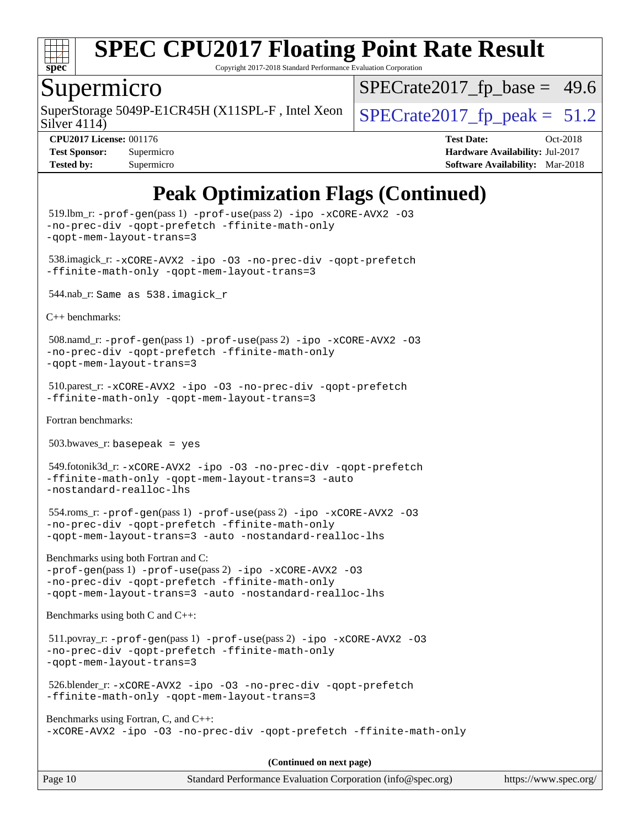

Copyright 2017-2018 Standard Performance Evaluation Corporation

### Supermicro

Silver 4114) SuperStorage 5049P-E1CR45H (X11SPL-F, Intel Xeon  $\big|$  SPECrate2017 fp peak = 51.2

 $SPECTate2017_fp\_base = 49.6$ 

**[CPU2017 License:](http://www.spec.org/auto/cpu2017/Docs/result-fields.html#CPU2017License)** 001176 **[Test Date:](http://www.spec.org/auto/cpu2017/Docs/result-fields.html#TestDate)** Oct-2018 **[Test Sponsor:](http://www.spec.org/auto/cpu2017/Docs/result-fields.html#TestSponsor)** Supermicro **[Hardware Availability:](http://www.spec.org/auto/cpu2017/Docs/result-fields.html#HardwareAvailability)** Jul-2017 **[Tested by:](http://www.spec.org/auto/cpu2017/Docs/result-fields.html#Testedby)** Supermicro **Supermicro [Software Availability:](http://www.spec.org/auto/cpu2017/Docs/result-fields.html#SoftwareAvailability)** Mar-2018

## **[Peak Optimization Flags \(Continued\)](http://www.spec.org/auto/cpu2017/Docs/result-fields.html#PeakOptimizationFlags)**

 519.lbm\_r: [-prof-gen](http://www.spec.org/cpu2017/results/res2018q4/cpu2017-20181015-09226.flags.html#user_peakPASS1_CFLAGSPASS1_LDFLAGS519_lbm_r_prof_gen_5aa4926d6013ddb2a31985c654b3eb18169fc0c6952a63635c234f711e6e63dd76e94ad52365559451ec499a2cdb89e4dc58ba4c67ef54ca681ffbe1461d6b36)(pass 1) [-prof-use](http://www.spec.org/cpu2017/results/res2018q4/cpu2017-20181015-09226.flags.html#user_peakPASS2_CFLAGSPASS2_LDFLAGS519_lbm_r_prof_use_1a21ceae95f36a2b53c25747139a6c16ca95bd9def2a207b4f0849963b97e94f5260e30a0c64f4bb623698870e679ca08317ef8150905d41bd88c6f78df73f19)(pass 2) [-ipo](http://www.spec.org/cpu2017/results/res2018q4/cpu2017-20181015-09226.flags.html#user_peakPASS1_COPTIMIZEPASS2_COPTIMIZE519_lbm_r_f-ipo) [-xCORE-AVX2](http://www.spec.org/cpu2017/results/res2018q4/cpu2017-20181015-09226.flags.html#user_peakPASS2_COPTIMIZE519_lbm_r_f-xCORE-AVX2) [-O3](http://www.spec.org/cpu2017/results/res2018q4/cpu2017-20181015-09226.flags.html#user_peakPASS1_COPTIMIZEPASS2_COPTIMIZE519_lbm_r_f-O3) [-no-prec-div](http://www.spec.org/cpu2017/results/res2018q4/cpu2017-20181015-09226.flags.html#user_peakPASS1_COPTIMIZEPASS2_COPTIMIZE519_lbm_r_f-no-prec-div) [-qopt-prefetch](http://www.spec.org/cpu2017/results/res2018q4/cpu2017-20181015-09226.flags.html#user_peakPASS1_COPTIMIZEPASS2_COPTIMIZE519_lbm_r_f-qopt-prefetch) [-ffinite-math-only](http://www.spec.org/cpu2017/results/res2018q4/cpu2017-20181015-09226.flags.html#user_peakPASS1_COPTIMIZEPASS2_COPTIMIZE519_lbm_r_f_finite_math_only_cb91587bd2077682c4b38af759c288ed7c732db004271a9512da14a4f8007909a5f1427ecbf1a0fb78ff2a814402c6114ac565ca162485bbcae155b5e4258871) [-qopt-mem-layout-trans=3](http://www.spec.org/cpu2017/results/res2018q4/cpu2017-20181015-09226.flags.html#user_peakPASS1_COPTIMIZEPASS2_COPTIMIZE519_lbm_r_f-qopt-mem-layout-trans_de80db37974c74b1f0e20d883f0b675c88c3b01e9d123adea9b28688d64333345fb62bc4a798493513fdb68f60282f9a726aa07f478b2f7113531aecce732043) 538.imagick\_r: [-xCORE-AVX2](http://www.spec.org/cpu2017/results/res2018q4/cpu2017-20181015-09226.flags.html#user_peakCOPTIMIZE538_imagick_r_f-xCORE-AVX2) [-ipo](http://www.spec.org/cpu2017/results/res2018q4/cpu2017-20181015-09226.flags.html#user_peakCOPTIMIZE538_imagick_r_f-ipo) [-O3](http://www.spec.org/cpu2017/results/res2018q4/cpu2017-20181015-09226.flags.html#user_peakCOPTIMIZE538_imagick_r_f-O3) [-no-prec-div](http://www.spec.org/cpu2017/results/res2018q4/cpu2017-20181015-09226.flags.html#user_peakCOPTIMIZE538_imagick_r_f-no-prec-div) [-qopt-prefetch](http://www.spec.org/cpu2017/results/res2018q4/cpu2017-20181015-09226.flags.html#user_peakCOPTIMIZE538_imagick_r_f-qopt-prefetch) [-ffinite-math-only](http://www.spec.org/cpu2017/results/res2018q4/cpu2017-20181015-09226.flags.html#user_peakCOPTIMIZE538_imagick_r_f_finite_math_only_cb91587bd2077682c4b38af759c288ed7c732db004271a9512da14a4f8007909a5f1427ecbf1a0fb78ff2a814402c6114ac565ca162485bbcae155b5e4258871) [-qopt-mem-layout-trans=3](http://www.spec.org/cpu2017/results/res2018q4/cpu2017-20181015-09226.flags.html#user_peakCOPTIMIZE538_imagick_r_f-qopt-mem-layout-trans_de80db37974c74b1f0e20d883f0b675c88c3b01e9d123adea9b28688d64333345fb62bc4a798493513fdb68f60282f9a726aa07f478b2f7113531aecce732043) 544.nab\_r: Same as 538.imagick\_r [C++ benchmarks:](http://www.spec.org/auto/cpu2017/Docs/result-fields.html#CXXbenchmarks) 508.namd\_r: [-prof-gen](http://www.spec.org/cpu2017/results/res2018q4/cpu2017-20181015-09226.flags.html#user_peakPASS1_CXXFLAGSPASS1_LDFLAGS508_namd_r_prof_gen_5aa4926d6013ddb2a31985c654b3eb18169fc0c6952a63635c234f711e6e63dd76e94ad52365559451ec499a2cdb89e4dc58ba4c67ef54ca681ffbe1461d6b36)(pass 1) [-prof-use](http://www.spec.org/cpu2017/results/res2018q4/cpu2017-20181015-09226.flags.html#user_peakPASS2_CXXFLAGSPASS2_LDFLAGS508_namd_r_prof_use_1a21ceae95f36a2b53c25747139a6c16ca95bd9def2a207b4f0849963b97e94f5260e30a0c64f4bb623698870e679ca08317ef8150905d41bd88c6f78df73f19)(pass 2) [-ipo](http://www.spec.org/cpu2017/results/res2018q4/cpu2017-20181015-09226.flags.html#user_peakPASS1_CXXOPTIMIZEPASS2_CXXOPTIMIZE508_namd_r_f-ipo) [-xCORE-AVX2](http://www.spec.org/cpu2017/results/res2018q4/cpu2017-20181015-09226.flags.html#user_peakPASS2_CXXOPTIMIZE508_namd_r_f-xCORE-AVX2) [-O3](http://www.spec.org/cpu2017/results/res2018q4/cpu2017-20181015-09226.flags.html#user_peakPASS1_CXXOPTIMIZEPASS2_CXXOPTIMIZE508_namd_r_f-O3) [-no-prec-div](http://www.spec.org/cpu2017/results/res2018q4/cpu2017-20181015-09226.flags.html#user_peakPASS1_CXXOPTIMIZEPASS2_CXXOPTIMIZE508_namd_r_f-no-prec-div) [-qopt-prefetch](http://www.spec.org/cpu2017/results/res2018q4/cpu2017-20181015-09226.flags.html#user_peakPASS1_CXXOPTIMIZEPASS2_CXXOPTIMIZE508_namd_r_f-qopt-prefetch) [-ffinite-math-only](http://www.spec.org/cpu2017/results/res2018q4/cpu2017-20181015-09226.flags.html#user_peakPASS1_CXXOPTIMIZEPASS2_CXXOPTIMIZE508_namd_r_f_finite_math_only_cb91587bd2077682c4b38af759c288ed7c732db004271a9512da14a4f8007909a5f1427ecbf1a0fb78ff2a814402c6114ac565ca162485bbcae155b5e4258871) [-qopt-mem-layout-trans=3](http://www.spec.org/cpu2017/results/res2018q4/cpu2017-20181015-09226.flags.html#user_peakPASS1_CXXOPTIMIZEPASS2_CXXOPTIMIZE508_namd_r_f-qopt-mem-layout-trans_de80db37974c74b1f0e20d883f0b675c88c3b01e9d123adea9b28688d64333345fb62bc4a798493513fdb68f60282f9a726aa07f478b2f7113531aecce732043) 510.parest\_r: [-xCORE-AVX2](http://www.spec.org/cpu2017/results/res2018q4/cpu2017-20181015-09226.flags.html#user_peakCXXOPTIMIZE510_parest_r_f-xCORE-AVX2) [-ipo](http://www.spec.org/cpu2017/results/res2018q4/cpu2017-20181015-09226.flags.html#user_peakCXXOPTIMIZE510_parest_r_f-ipo) [-O3](http://www.spec.org/cpu2017/results/res2018q4/cpu2017-20181015-09226.flags.html#user_peakCXXOPTIMIZE510_parest_r_f-O3) [-no-prec-div](http://www.spec.org/cpu2017/results/res2018q4/cpu2017-20181015-09226.flags.html#user_peakCXXOPTIMIZE510_parest_r_f-no-prec-div) [-qopt-prefetch](http://www.spec.org/cpu2017/results/res2018q4/cpu2017-20181015-09226.flags.html#user_peakCXXOPTIMIZE510_parest_r_f-qopt-prefetch) [-ffinite-math-only](http://www.spec.org/cpu2017/results/res2018q4/cpu2017-20181015-09226.flags.html#user_peakCXXOPTIMIZE510_parest_r_f_finite_math_only_cb91587bd2077682c4b38af759c288ed7c732db004271a9512da14a4f8007909a5f1427ecbf1a0fb78ff2a814402c6114ac565ca162485bbcae155b5e4258871) [-qopt-mem-layout-trans=3](http://www.spec.org/cpu2017/results/res2018q4/cpu2017-20181015-09226.flags.html#user_peakCXXOPTIMIZE510_parest_r_f-qopt-mem-layout-trans_de80db37974c74b1f0e20d883f0b675c88c3b01e9d123adea9b28688d64333345fb62bc4a798493513fdb68f60282f9a726aa07f478b2f7113531aecce732043) [Fortran benchmarks](http://www.spec.org/auto/cpu2017/Docs/result-fields.html#Fortranbenchmarks):  $503.bwaves$  r: basepeak = yes 549.fotonik3d\_r: [-xCORE-AVX2](http://www.spec.org/cpu2017/results/res2018q4/cpu2017-20181015-09226.flags.html#user_peakFOPTIMIZE549_fotonik3d_r_f-xCORE-AVX2) [-ipo](http://www.spec.org/cpu2017/results/res2018q4/cpu2017-20181015-09226.flags.html#user_peakFOPTIMIZE549_fotonik3d_r_f-ipo) [-O3](http://www.spec.org/cpu2017/results/res2018q4/cpu2017-20181015-09226.flags.html#user_peakFOPTIMIZE549_fotonik3d_r_f-O3) [-no-prec-div](http://www.spec.org/cpu2017/results/res2018q4/cpu2017-20181015-09226.flags.html#user_peakFOPTIMIZE549_fotonik3d_r_f-no-prec-div) [-qopt-prefetch](http://www.spec.org/cpu2017/results/res2018q4/cpu2017-20181015-09226.flags.html#user_peakFOPTIMIZE549_fotonik3d_r_f-qopt-prefetch) [-ffinite-math-only](http://www.spec.org/cpu2017/results/res2018q4/cpu2017-20181015-09226.flags.html#user_peakFOPTIMIZE549_fotonik3d_r_f_finite_math_only_cb91587bd2077682c4b38af759c288ed7c732db004271a9512da14a4f8007909a5f1427ecbf1a0fb78ff2a814402c6114ac565ca162485bbcae155b5e4258871) [-qopt-mem-layout-trans=3](http://www.spec.org/cpu2017/results/res2018q4/cpu2017-20181015-09226.flags.html#user_peakFOPTIMIZE549_fotonik3d_r_f-qopt-mem-layout-trans_de80db37974c74b1f0e20d883f0b675c88c3b01e9d123adea9b28688d64333345fb62bc4a798493513fdb68f60282f9a726aa07f478b2f7113531aecce732043) [-auto](http://www.spec.org/cpu2017/results/res2018q4/cpu2017-20181015-09226.flags.html#user_peakFOPTIMIZE549_fotonik3d_r_f-auto) [-nostandard-realloc-lhs](http://www.spec.org/cpu2017/results/res2018q4/cpu2017-20181015-09226.flags.html#user_peakEXTRA_FOPTIMIZE549_fotonik3d_r_f_2003_std_realloc_82b4557e90729c0f113870c07e44d33d6f5a304b4f63d4c15d2d0f1fab99f5daaed73bdb9275d9ae411527f28b936061aa8b9c8f2d63842963b95c9dd6426b8a) 554.roms\_r: [-prof-gen](http://www.spec.org/cpu2017/results/res2018q4/cpu2017-20181015-09226.flags.html#user_peakPASS1_FFLAGSPASS1_LDFLAGS554_roms_r_prof_gen_5aa4926d6013ddb2a31985c654b3eb18169fc0c6952a63635c234f711e6e63dd76e94ad52365559451ec499a2cdb89e4dc58ba4c67ef54ca681ffbe1461d6b36)(pass 1) [-prof-use](http://www.spec.org/cpu2017/results/res2018q4/cpu2017-20181015-09226.flags.html#user_peakPASS2_FFLAGSPASS2_LDFLAGS554_roms_r_prof_use_1a21ceae95f36a2b53c25747139a6c16ca95bd9def2a207b4f0849963b97e94f5260e30a0c64f4bb623698870e679ca08317ef8150905d41bd88c6f78df73f19)(pass 2) [-ipo](http://www.spec.org/cpu2017/results/res2018q4/cpu2017-20181015-09226.flags.html#user_peakPASS1_FOPTIMIZEPASS2_FOPTIMIZE554_roms_r_f-ipo) [-xCORE-AVX2](http://www.spec.org/cpu2017/results/res2018q4/cpu2017-20181015-09226.flags.html#user_peakPASS2_FOPTIMIZE554_roms_r_f-xCORE-AVX2) [-O3](http://www.spec.org/cpu2017/results/res2018q4/cpu2017-20181015-09226.flags.html#user_peakPASS1_FOPTIMIZEPASS2_FOPTIMIZE554_roms_r_f-O3) [-no-prec-div](http://www.spec.org/cpu2017/results/res2018q4/cpu2017-20181015-09226.flags.html#user_peakPASS1_FOPTIMIZEPASS2_FOPTIMIZE554_roms_r_f-no-prec-div) [-qopt-prefetch](http://www.spec.org/cpu2017/results/res2018q4/cpu2017-20181015-09226.flags.html#user_peakPASS1_FOPTIMIZEPASS2_FOPTIMIZE554_roms_r_f-qopt-prefetch) [-ffinite-math-only](http://www.spec.org/cpu2017/results/res2018q4/cpu2017-20181015-09226.flags.html#user_peakPASS1_FOPTIMIZEPASS2_FOPTIMIZE554_roms_r_f_finite_math_only_cb91587bd2077682c4b38af759c288ed7c732db004271a9512da14a4f8007909a5f1427ecbf1a0fb78ff2a814402c6114ac565ca162485bbcae155b5e4258871) [-qopt-mem-layout-trans=3](http://www.spec.org/cpu2017/results/res2018q4/cpu2017-20181015-09226.flags.html#user_peakPASS1_FOPTIMIZEPASS2_FOPTIMIZE554_roms_r_f-qopt-mem-layout-trans_de80db37974c74b1f0e20d883f0b675c88c3b01e9d123adea9b28688d64333345fb62bc4a798493513fdb68f60282f9a726aa07f478b2f7113531aecce732043) [-auto](http://www.spec.org/cpu2017/results/res2018q4/cpu2017-20181015-09226.flags.html#user_peakPASS2_FOPTIMIZE554_roms_r_f-auto) [-nostandard-realloc-lhs](http://www.spec.org/cpu2017/results/res2018q4/cpu2017-20181015-09226.flags.html#user_peakEXTRA_FOPTIMIZE554_roms_r_f_2003_std_realloc_82b4557e90729c0f113870c07e44d33d6f5a304b4f63d4c15d2d0f1fab99f5daaed73bdb9275d9ae411527f28b936061aa8b9c8f2d63842963b95c9dd6426b8a) [Benchmarks using both Fortran and C:](http://www.spec.org/auto/cpu2017/Docs/result-fields.html#BenchmarksusingbothFortranandC) [-prof-gen](http://www.spec.org/cpu2017/results/res2018q4/cpu2017-20181015-09226.flags.html#user_CC_FCpeak_prof_gen_5aa4926d6013ddb2a31985c654b3eb18169fc0c6952a63635c234f711e6e63dd76e94ad52365559451ec499a2cdb89e4dc58ba4c67ef54ca681ffbe1461d6b36)(pass 1) [-prof-use](http://www.spec.org/cpu2017/results/res2018q4/cpu2017-20181015-09226.flags.html#user_CC_FCpeak_prof_use_1a21ceae95f36a2b53c25747139a6c16ca95bd9def2a207b4f0849963b97e94f5260e30a0c64f4bb623698870e679ca08317ef8150905d41bd88c6f78df73f19)(pass 2) [-ipo](http://www.spec.org/cpu2017/results/res2018q4/cpu2017-20181015-09226.flags.html#user_CC_FCpeak_f-ipo) [-xCORE-AVX2](http://www.spec.org/cpu2017/results/res2018q4/cpu2017-20181015-09226.flags.html#user_CC_FCpeak_f-xCORE-AVX2) [-O3](http://www.spec.org/cpu2017/results/res2018q4/cpu2017-20181015-09226.flags.html#user_CC_FCpeak_f-O3) [-no-prec-div](http://www.spec.org/cpu2017/results/res2018q4/cpu2017-20181015-09226.flags.html#user_CC_FCpeak_f-no-prec-div) [-qopt-prefetch](http://www.spec.org/cpu2017/results/res2018q4/cpu2017-20181015-09226.flags.html#user_CC_FCpeak_f-qopt-prefetch) [-ffinite-math-only](http://www.spec.org/cpu2017/results/res2018q4/cpu2017-20181015-09226.flags.html#user_CC_FCpeak_f_finite_math_only_cb91587bd2077682c4b38af759c288ed7c732db004271a9512da14a4f8007909a5f1427ecbf1a0fb78ff2a814402c6114ac565ca162485bbcae155b5e4258871) [-qopt-mem-layout-trans=3](http://www.spec.org/cpu2017/results/res2018q4/cpu2017-20181015-09226.flags.html#user_CC_FCpeak_f-qopt-mem-layout-trans_de80db37974c74b1f0e20d883f0b675c88c3b01e9d123adea9b28688d64333345fb62bc4a798493513fdb68f60282f9a726aa07f478b2f7113531aecce732043) [-auto](http://www.spec.org/cpu2017/results/res2018q4/cpu2017-20181015-09226.flags.html#user_CC_FCpeak_f-auto) [-nostandard-realloc-lhs](http://www.spec.org/cpu2017/results/res2018q4/cpu2017-20181015-09226.flags.html#user_CC_FCpeak_f_2003_std_realloc_82b4557e90729c0f113870c07e44d33d6f5a304b4f63d4c15d2d0f1fab99f5daaed73bdb9275d9ae411527f28b936061aa8b9c8f2d63842963b95c9dd6426b8a) [Benchmarks using both C and C++](http://www.spec.org/auto/cpu2017/Docs/result-fields.html#BenchmarksusingbothCandCXX): 511.povray\_r: [-prof-gen](http://www.spec.org/cpu2017/results/res2018q4/cpu2017-20181015-09226.flags.html#user_peakPASS1_CFLAGSPASS1_CXXFLAGSPASS1_LDFLAGS511_povray_r_prof_gen_5aa4926d6013ddb2a31985c654b3eb18169fc0c6952a63635c234f711e6e63dd76e94ad52365559451ec499a2cdb89e4dc58ba4c67ef54ca681ffbe1461d6b36)(pass 1) [-prof-use](http://www.spec.org/cpu2017/results/res2018q4/cpu2017-20181015-09226.flags.html#user_peakPASS2_CFLAGSPASS2_CXXFLAGSPASS2_LDFLAGS511_povray_r_prof_use_1a21ceae95f36a2b53c25747139a6c16ca95bd9def2a207b4f0849963b97e94f5260e30a0c64f4bb623698870e679ca08317ef8150905d41bd88c6f78df73f19)(pass 2) [-ipo](http://www.spec.org/cpu2017/results/res2018q4/cpu2017-20181015-09226.flags.html#user_peakPASS1_COPTIMIZEPASS1_CXXOPTIMIZEPASS2_COPTIMIZEPASS2_CXXOPTIMIZE511_povray_r_f-ipo) [-xCORE-AVX2](http://www.spec.org/cpu2017/results/res2018q4/cpu2017-20181015-09226.flags.html#user_peakPASS2_COPTIMIZEPASS2_CXXOPTIMIZE511_povray_r_f-xCORE-AVX2) [-O3](http://www.spec.org/cpu2017/results/res2018q4/cpu2017-20181015-09226.flags.html#user_peakPASS1_COPTIMIZEPASS1_CXXOPTIMIZEPASS2_COPTIMIZEPASS2_CXXOPTIMIZE511_povray_r_f-O3) [-no-prec-div](http://www.spec.org/cpu2017/results/res2018q4/cpu2017-20181015-09226.flags.html#user_peakPASS1_COPTIMIZEPASS1_CXXOPTIMIZEPASS2_COPTIMIZEPASS2_CXXOPTIMIZE511_povray_r_f-no-prec-div) [-qopt-prefetch](http://www.spec.org/cpu2017/results/res2018q4/cpu2017-20181015-09226.flags.html#user_peakPASS1_COPTIMIZEPASS1_CXXOPTIMIZEPASS2_COPTIMIZEPASS2_CXXOPTIMIZE511_povray_r_f-qopt-prefetch) [-ffinite-math-only](http://www.spec.org/cpu2017/results/res2018q4/cpu2017-20181015-09226.flags.html#user_peakPASS1_COPTIMIZEPASS1_CXXOPTIMIZEPASS2_COPTIMIZEPASS2_CXXOPTIMIZE511_povray_r_f_finite_math_only_cb91587bd2077682c4b38af759c288ed7c732db004271a9512da14a4f8007909a5f1427ecbf1a0fb78ff2a814402c6114ac565ca162485bbcae155b5e4258871) [-qopt-mem-layout-trans=3](http://www.spec.org/cpu2017/results/res2018q4/cpu2017-20181015-09226.flags.html#user_peakPASS1_COPTIMIZEPASS1_CXXOPTIMIZEPASS2_COPTIMIZEPASS2_CXXOPTIMIZE511_povray_r_f-qopt-mem-layout-trans_de80db37974c74b1f0e20d883f0b675c88c3b01e9d123adea9b28688d64333345fb62bc4a798493513fdb68f60282f9a726aa07f478b2f7113531aecce732043) 526.blender\_r: [-xCORE-AVX2](http://www.spec.org/cpu2017/results/res2018q4/cpu2017-20181015-09226.flags.html#user_peakCOPTIMIZECXXOPTIMIZE526_blender_r_f-xCORE-AVX2) [-ipo](http://www.spec.org/cpu2017/results/res2018q4/cpu2017-20181015-09226.flags.html#user_peakCOPTIMIZECXXOPTIMIZE526_blender_r_f-ipo) [-O3](http://www.spec.org/cpu2017/results/res2018q4/cpu2017-20181015-09226.flags.html#user_peakCOPTIMIZECXXOPTIMIZE526_blender_r_f-O3) [-no-prec-div](http://www.spec.org/cpu2017/results/res2018q4/cpu2017-20181015-09226.flags.html#user_peakCOPTIMIZECXXOPTIMIZE526_blender_r_f-no-prec-div) [-qopt-prefetch](http://www.spec.org/cpu2017/results/res2018q4/cpu2017-20181015-09226.flags.html#user_peakCOPTIMIZECXXOPTIMIZE526_blender_r_f-qopt-prefetch) [-ffinite-math-only](http://www.spec.org/cpu2017/results/res2018q4/cpu2017-20181015-09226.flags.html#user_peakCOPTIMIZECXXOPTIMIZE526_blender_r_f_finite_math_only_cb91587bd2077682c4b38af759c288ed7c732db004271a9512da14a4f8007909a5f1427ecbf1a0fb78ff2a814402c6114ac565ca162485bbcae155b5e4258871) [-qopt-mem-layout-trans=3](http://www.spec.org/cpu2017/results/res2018q4/cpu2017-20181015-09226.flags.html#user_peakCOPTIMIZECXXOPTIMIZE526_blender_r_f-qopt-mem-layout-trans_de80db37974c74b1f0e20d883f0b675c88c3b01e9d123adea9b28688d64333345fb62bc4a798493513fdb68f60282f9a726aa07f478b2f7113531aecce732043) [Benchmarks using Fortran, C, and C++:](http://www.spec.org/auto/cpu2017/Docs/result-fields.html#BenchmarksusingFortranCandCXX) [-xCORE-AVX2](http://www.spec.org/cpu2017/results/res2018q4/cpu2017-20181015-09226.flags.html#user_CC_CXX_FCpeak_f-xCORE-AVX2) [-ipo](http://www.spec.org/cpu2017/results/res2018q4/cpu2017-20181015-09226.flags.html#user_CC_CXX_FCpeak_f-ipo) [-O3](http://www.spec.org/cpu2017/results/res2018q4/cpu2017-20181015-09226.flags.html#user_CC_CXX_FCpeak_f-O3) [-no-prec-div](http://www.spec.org/cpu2017/results/res2018q4/cpu2017-20181015-09226.flags.html#user_CC_CXX_FCpeak_f-no-prec-div) [-qopt-prefetch](http://www.spec.org/cpu2017/results/res2018q4/cpu2017-20181015-09226.flags.html#user_CC_CXX_FCpeak_f-qopt-prefetch) [-ffinite-math-only](http://www.spec.org/cpu2017/results/res2018q4/cpu2017-20181015-09226.flags.html#user_CC_CXX_FCpeak_f_finite_math_only_cb91587bd2077682c4b38af759c288ed7c732db004271a9512da14a4f8007909a5f1427ecbf1a0fb78ff2a814402c6114ac565ca162485bbcae155b5e4258871) **(Continued on next page)**